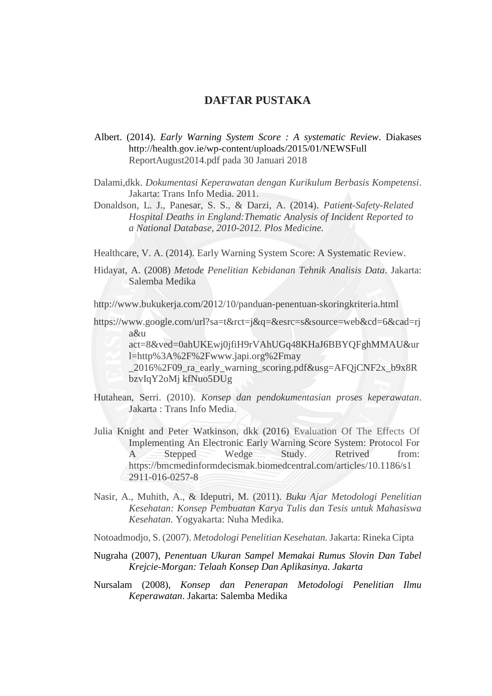## **DAFTAR PUSTAKA**

- Albert. (2014). *Early Warning System Score : A systematic Review*. Diakases [http://health.gov.ie/wp-content/uploads/2015/01/NEWSFull](http://health.gov.ie/wp-content/uploads/2015/01/NEWSFull%20ReportAugust2014.pdf)  [ReportAugust2014.pdf](http://health.gov.ie/wp-content/uploads/2015/01/NEWSFull%20ReportAugust2014.pdf) pada 30 Januari 2018
- Dalami,dkk. *Dokumentasi Keperawatan dengan Kurikulum Berbasis Kompetensi*. Jakarta: Trans Info Media. 2011.
- Donaldson, L. J., Panesar, S. S., & Darzi, A. (2014). *Patient-Safety-Related Hospital Deaths in England:Thematic Analysis of Incident Reported to a National Database, 2010-2012. Plos Medicine.*

Healthcare, V. A. (2014). Early Warning System Score: A Systematic Review.

Hidayat, A. (2008) *Metode Penelitian Kebidanan Tehnik Analisis Data*. Jakarta: Salemba Medika

http://www.bukukerja.com/2012/10/panduan-penentuan-skoringkriteria.html

[https://www.google.com/url?sa=t&rct=j&q=&esrc=s&source=web&cd=6&cad=rj](https://www.google.com/url?sa=t&rct=j&q=&esrc=s&source=web&cd=6&cad=rja&uact=8&ved=0ahUKEwj0jfiH9-rVAhUGq48KHaJ6BBYQFghMMAU&url=http%3A%2F%2Fwww.japi.org%2Fmay_2016%2F09_ra_early_warning_scoring.pdf&usg=AFQjCNF2x_b9x8RbzvIqY2oMjkfNuo5DUg) [a&u](https://www.google.com/url?sa=t&rct=j&q=&esrc=s&source=web&cd=6&cad=rja&uact=8&ved=0ahUKEwj0jfiH9-rVAhUGq48KHaJ6BBYQFghMMAU&url=http%3A%2F%2Fwww.japi.org%2Fmay_2016%2F09_ra_early_warning_scoring.pdf&usg=AFQjCNF2x_b9x8RbzvIqY2oMjkfNuo5DUg) 

[act=8&ved=0ahUKEwj0jfiH9rVAhUGq48KHaJ6BBYQFghMMAU&ur](https://www.google.com/url?sa=t&rct=j&q=&esrc=s&source=web&cd=6&cad=rja&uact=8&ved=0ahUKEwj0jfiH9-rVAhUGq48KHaJ6BBYQFghMMAU&url=http%3A%2F%2Fwww.japi.org%2Fmay_2016%2F09_ra_early_warning_scoring.pdf&usg=AFQjCNF2x_b9x8RbzvIqY2oMjkfNuo5DUg) [l=http%3A%2F%2Fwww.japi.org%2Fmay](https://www.google.com/url?sa=t&rct=j&q=&esrc=s&source=web&cd=6&cad=rja&uact=8&ved=0ahUKEwj0jfiH9-rVAhUGq48KHaJ6BBYQFghMMAU&url=http%3A%2F%2Fwww.japi.org%2Fmay_2016%2F09_ra_early_warning_scoring.pdf&usg=AFQjCNF2x_b9x8RbzvIqY2oMjkfNuo5DUg) 

- [\\_2016%2F09\\_ra\\_early\\_warning\\_scoring.pdf&usg=AFQjCNF2x\\_b9x8R](https://www.google.com/url?sa=t&rct=j&q=&esrc=s&source=web&cd=6&cad=rja&uact=8&ved=0ahUKEwj0jfiH9-rVAhUGq48KHaJ6BBYQFghMMAU&url=http%3A%2F%2Fwww.japi.org%2Fmay_2016%2F09_ra_early_warning_scoring.pdf&usg=AFQjCNF2x_b9x8RbzvIqY2oMjkfNuo5DUg) [bzvIqY2oMj kfNuo5DUg](https://www.google.com/url?sa=t&rct=j&q=&esrc=s&source=web&cd=6&cad=rja&uact=8&ved=0ahUKEwj0jfiH9-rVAhUGq48KHaJ6BBYQFghMMAU&url=http%3A%2F%2Fwww.japi.org%2Fmay_2016%2F09_ra_early_warning_scoring.pdf&usg=AFQjCNF2x_b9x8RbzvIqY2oMjkfNuo5DUg)
- Hutahean, Serri. (2010). *Konsep dan pendokumentasian proses keperawatan*. Jakarta : Trans Info Media.
- Julia Knight and Peter Watkinson, dkk (2016) Evaluation Of The Effects Of Implementing An Electronic Early Warning Score System: Protocol For A Stepped Wedge Study. Retrived from: https://bmcmedinformdecismak.biomedcentral.com/articles/10.1186/s1 2911-016-0257-8
- Nasir, A., Muhith, A., & Ideputri, M. (2011). *Buku Ajar Metodologi Penelitian Kesehatan: Konsep Pembuatan Karya Tulis dan Tesis untuk Mahasiswa Kesehatan.* Yogyakarta: Nuha Medika.
- Notoadmodjo, S. (2007). *Metodologi Penelitian Kesehatan.* Jakarta: Rineka Cipta
- Nugraha (2007), *Penentuan Ukuran Sampel Memakai Rumus Slovin Dan Tabel Krejcie-Morgan: Telaah Konsep Dan Aplikasinya. Jakarta*
- Nursalam (2008), *Konsep dan Penerapan Metodologi Penelitian Ilmu Keperawatan*. Jakarta: Salemba Medika